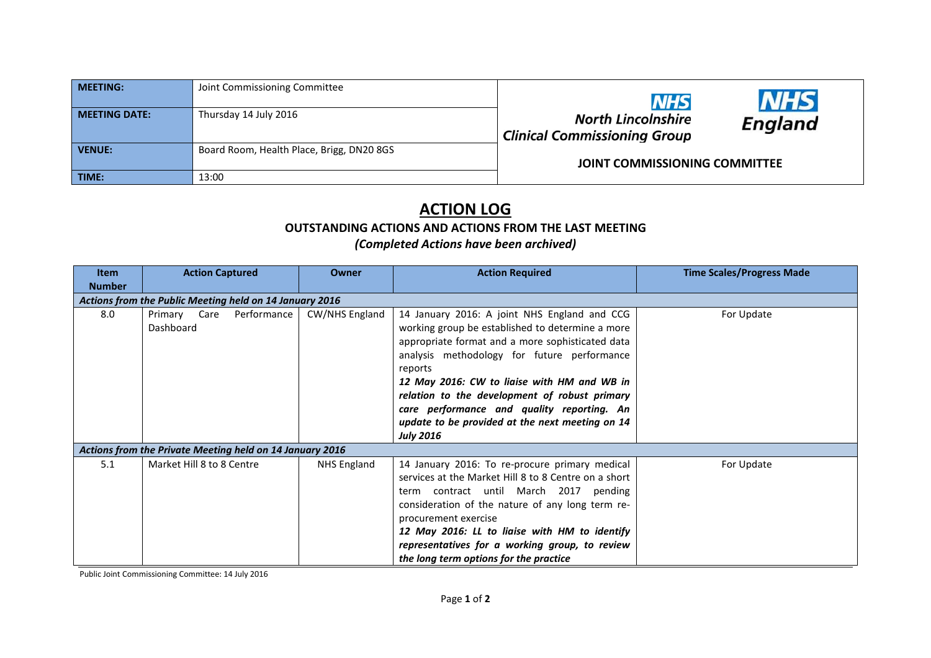| <b>MEETING:</b>      | Joint Commissioning Committee             | <b>NHS</b>                                                | <b>NHS</b> |
|----------------------|-------------------------------------------|-----------------------------------------------------------|------------|
| <b>MEETING DATE:</b> | Thursday 14 July 2016                     | North Lincolnshire<br><b>Clinical Commissioning Group</b> | England    |
| VENUE:               | Board Room, Health Place, Brigg, DN20 8GS | <b>JOINT COMMISSIONING COMMITTEE</b>                      |            |
| TIME:                | 13:00                                     |                                                           |            |

## **ACTION LOG OUTSTANDING ACTIONS AND ACTIONS FROM THE LAST MEETING**

## *(Completed Actions have been archived)*

| Item                                                     | <b>Action Captured</b>                | Owner          | <b>Action Required</b>                                                                                                                                                                                                                                                                                                                                                                                                              | <b>Time Scales/Progress Made</b> |  |  |
|----------------------------------------------------------|---------------------------------------|----------------|-------------------------------------------------------------------------------------------------------------------------------------------------------------------------------------------------------------------------------------------------------------------------------------------------------------------------------------------------------------------------------------------------------------------------------------|----------------------------------|--|--|
| <b>Number</b>                                            |                                       |                |                                                                                                                                                                                                                                                                                                                                                                                                                                     |                                  |  |  |
| Actions from the Public Meeting held on 14 January 2016  |                                       |                |                                                                                                                                                                                                                                                                                                                                                                                                                                     |                                  |  |  |
| 8.0                                                      | Primary Care Performance<br>Dashboard | CW/NHS England | 14 January 2016: A joint NHS England and CCG<br>working group be established to determine a more<br>appropriate format and a more sophisticated data<br>analysis methodology for future performance<br>reports<br>12 May 2016: CW to liaise with HM and WB in<br>relation to the development of robust primary<br>care performance and quality reporting. An<br>update to be provided at the next meeting on 14<br><b>July 2016</b> | For Update                       |  |  |
| Actions from the Private Meeting held on 14 January 2016 |                                       |                |                                                                                                                                                                                                                                                                                                                                                                                                                                     |                                  |  |  |
| 5.1                                                      | Market Hill 8 to 8 Centre             | NHS England    | 14 January 2016: To re-procure primary medical<br>services at the Market Hill 8 to 8 Centre on a short<br>term contract until March 2017<br>pending<br>consideration of the nature of any long term re-<br>procurement exercise<br>12 May 2016: LL to liaise with HM to identify<br>representatives for a working group, to review<br>the long term options for the practice                                                        | For Update                       |  |  |

Public Joint Commissioning Committee: 14 July 2016